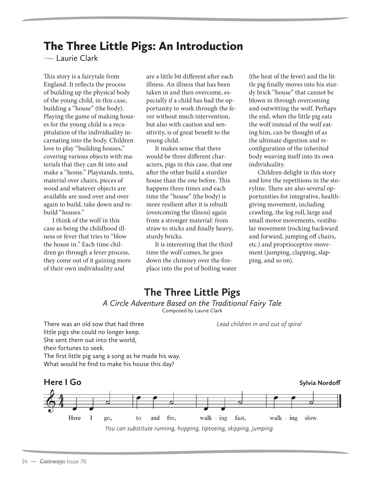# The Three Little Pigs: An Introduction

**-**Laurie Clark

This story is a fairytale from England. It reflects the process of building up the physical body of the young child, in this case, building a "house" (the body). Playing the game of making houses for the young child is a recapitulation of the individuality incarnating into the body. Children love to play "building houses," covering various objects with materials that they can fit into and make a "home." Playstands, tents, material over chairs, pieces of wood and whatever objects are available are used over and over again to build, take down and rebuild "houses."

I think of the wolf in this case as being the childhood illness or fever that tries to "blow the house in." Each time children go through a fever process, they come out of it gaining more of their own individuality and

are a little bit different after each illness. An illness that has been taken in and then overcome, especially if a child has had the opportunity to work through the fever without much intervention, but also with caution and sensitivity, is of great benefit to the young child.

It makes sense that there would be three different characters, pigs in this case, that one after the other build a sturdier house than the one before. This happens three times and each time the "house" (the body) is more resilient after it is rebuilt (overcoming the illness) again from a stronger material: from straw to sticks and finally heavy, sturdy bricks.

It is interesting that the third time the wolf comes, he goes down the chimney over the fireplace into the pot of boiling water

(the heat of the fever) and the little pig finally moves into his sturdy brick "house" that cannot be blown in through overcoming and outwitting the wolf. Perhaps the end, when the little pig eats the wolf instead of the wolf eating him, can be thought of as the ultimate digestion and reconfiguration of the inherited body weaving itself into its own individuality.

Children delight in this story and love the repetitions in the storyline. There are also several opportunities for integrative, healthgiving movement, including crawling, the log roll, large and small motor movements, vestibular movement (rocking backward and forward, jumping off chairs, etc.) and proprioceptive movement (jumping, clapping, slapping, and so on).

## **The Three Little Pigs** *A Circle Adventure Based on the Traditional Fairy Tale*

Composed by Laurie Clark

*Lead children in and out of spiral*

There was an old sow that had three little pigs she could no longer keep. She sent them out into the world, their fortunes to seek. The first little pig sang a song as he made his way. What would he find to make his house this day?

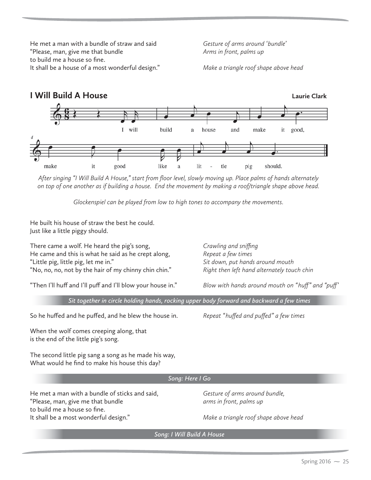He met a man with a bundle of straw and said "Please, man, give me that bundle to build me a house so fine. It shall be a house of a most wonderful design." *Gesture of arms around 'bundle' Arms in front, palms up*

*Make a triangle roof shape above head*



*After singing "I Will Build A House," start from floor level, slowly moving up. Place palms of hands alternately on top of one another as if building a house. End the movement by making a roof/triangle shape above head.*

*Glockenspiel can be played from low to high tones to accompany the movements.*

He built his house of straw the best he could. Just like a little piggy should.

There came a wolf. He heard the pig's song, He came and this is what he said as he crept along, "Little pig, little pig, let me in." "No, no, no, not by the hair of my chinny chin chin."

*Crawling and sniffing Repeat a few times Sit down, put hands around mouth Right then left hand alternately touch chin*

"Then I'll huff and I'll puff and I'll blow your house in."

*Blow with hands around mouth on "huff" and "puff'*

*Sit together in circle holding hands, rocking upper body forward and backward a few times*

So he huffed and he puffed, and he blew the house in.

*Repeat "huffed and puffed" a few times* 

When the wolf comes creeping along, that is the end of the little pig's song.

The second little pig sang a song as he made his way, What would he find to make his house this day?

#### *Song: Here I Go*

He met a man with a bundle of sticks and said, "Please, man, give me that bundle to build me a house so fine. It shall be a most wonderful design."

*Gesture of arms around bundle, arms in front, palms up*

*Make a triangle roof shape above head*

*Song: I Will Build A House*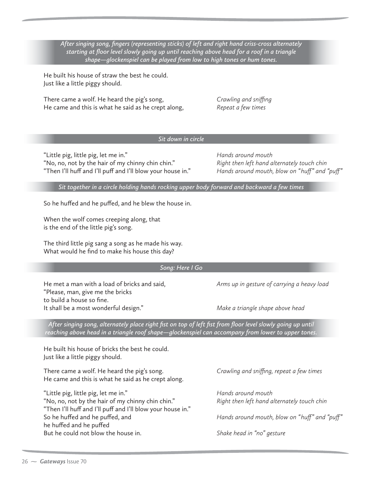*After singing song, fingers (representing sticks) of left and right hand criss-cross alternately starting at floor level slowly going up until reaching above head for a roof in a triangle shape—glockenspiel can be played from low to high tones or hum tones.*

He built his house of straw the best he could. Just like a little piggy should.

There came a wolf. He heard the pig's song, He came and this is what he said as he crept along, *Crawling and sniffing Repeat a few times*

### *Sit down in circle*

"Little pig, little pig, let me in." "No, no, not by the hair of my chinny chin chin." "Then I'll huff and I'll puff and I'll blow your house in." *Hands around mouth Right then left hand alternately touch chin Hands around mouth, blow on "huff" and "puff"*

*Sit together in a circle holding hands rocking upper body forward and backward a few times*

So he huffed and he puffed, and he blew the house in.

When the wolf comes creeping along, that is the end of the little pig's song.

The third little pig sang a song as he made his way. What would he find to make his house this day?

#### *Song: Here I Go*

He met a man with a load of bricks and said, "Please, man, give me the bricks to build a house so fine. It shall be a most wonderful design."

*Arms up in gesture of carrying a heavy load*

*Make a triangle shape above head*

*After singing song, alternately place right fist on top of left fist from floor level slowly going up until reaching above head in a triangle roof shape—glockenspiel can accompany from lower to upper tones.*

He built his house of bricks the best he could. Just like a little piggy should.

There came a wolf. He heard the pig's song. He came and this is what he said as he crept along.

"Little pig, little pig, let me in." "No, no, not by the hair of my chinny chin chin." "Then I'll huff and I'll puff and I'll blow your house in." So he huffed and he puffed, and he huffed and he puffed But he could not blow the house in.

*Crawling and sniffing, repeat a few times*

*Hands around mouth Right then left hand alternately touch chin*

*Hands around mouth, blow on "huff" and "puff"*

*Shake head in "no" gesture*